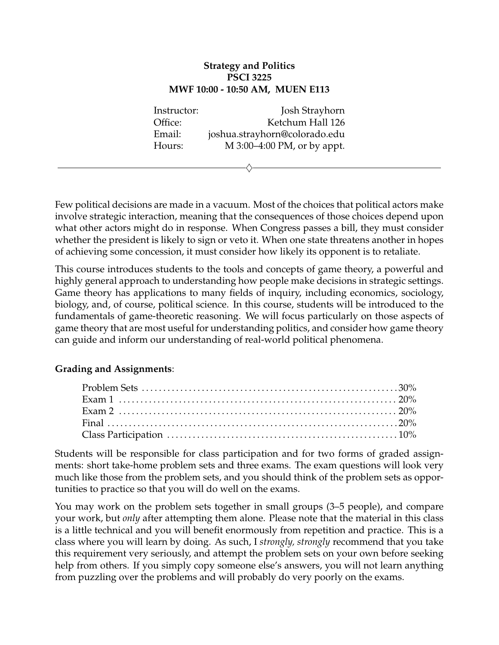## **Strategy and Politics PSCI 3225 MWF 10:00 - 10:50 AM, MUEN E113**

Instructor: Josh Strayhorn Office: Ketchum Hall 126 Email: joshua.strayhorn@colorado.edu Hours: M 3:00–4:00 PM, or by appt.

 $\diamondsuit$ 

Few political decisions are made in a vacuum. Most of the choices that political actors make involve strategic interaction, meaning that the consequences of those choices depend upon what other actors might do in response. When Congress passes a bill, they must consider whether the president is likely to sign or veto it. When one state threatens another in hopes of achieving some concession, it must consider how likely its opponent is to retaliate.

This course introduces students to the tools and concepts of game theory, a powerful and highly general approach to understanding how people make decisions in strategic settings. Game theory has applications to many fields of inquiry, including economics, sociology, biology, and, of course, political science. In this course, students will be introduced to the fundamentals of game-theoretic reasoning. We will focus particularly on those aspects of game theory that are most useful for understanding politics, and consider how game theory can guide and inform our understanding of real-world political phenomena.

## **Grading and Assignments**:

Students will be responsible for class participation and for two forms of graded assignments: short take-home problem sets and three exams. The exam questions will look very much like those from the problem sets, and you should think of the problem sets as opportunities to practice so that you will do well on the exams.

You may work on the problem sets together in small groups (3–5 people), and compare your work, but *only* after attempting them alone. Please note that the material in this class is a little technical and you will benefit enormously from repetition and practice. This is a class where you will learn by doing. As such, I *strongly, strongly* recommend that you take this requirement very seriously, and attempt the problem sets on your own before seeking help from others. If you simply copy someone else's answers, you will not learn anything from puzzling over the problems and will probably do very poorly on the exams.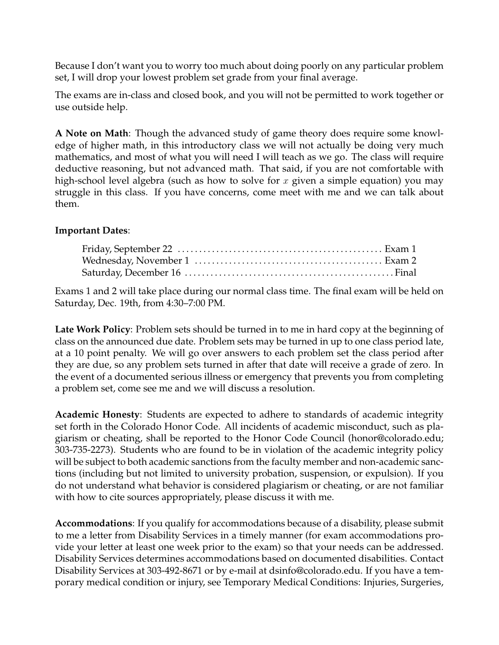Because I don't want you to worry too much about doing poorly on any particular problem set, I will drop your lowest problem set grade from your final average.

The exams are in-class and closed book, and you will not be permitted to work together or use outside help.

**A Note on Math**: Though the advanced study of game theory does require some knowledge of higher math, in this introductory class we will not actually be doing very much mathematics, and most of what you will need I will teach as we go. The class will require deductive reasoning, but not advanced math. That said, if you are not comfortable with high-school level algebra (such as how to solve for  $x$  given a simple equation) you may struggle in this class. If you have concerns, come meet with me and we can talk about them.

## **Important Dates**:

Exams 1 and 2 will take place during our normal class time. The final exam will be held on Saturday, Dec. 19th, from 4:30–7:00 PM.

**Late Work Policy**: Problem sets should be turned in to me in hard copy at the beginning of class on the announced due date. Problem sets may be turned in up to one class period late, at a 10 point penalty. We will go over answers to each problem set the class period after they are due, so any problem sets turned in after that date will receive a grade of zero. In the event of a documented serious illness or emergency that prevents you from completing a problem set, come see me and we will discuss a resolution.

**Academic Honesty**: Students are expected to adhere to standards of academic integrity set forth in the Colorado Honor Code. All incidents of academic misconduct, such as plagiarism or cheating, shall be reported to the Honor Code Council (honor@colorado.edu; 303-735-2273). Students who are found to be in violation of the academic integrity policy will be subject to both academic sanctions from the faculty member and non-academic sanctions (including but not limited to university probation, suspension, or expulsion). If you do not understand what behavior is considered plagiarism or cheating, or are not familiar with how to cite sources appropriately, please discuss it with me.

**Accommodations**: If you qualify for accommodations because of a disability, please submit to me a letter from Disability Services in a timely manner (for exam accommodations provide your letter at least one week prior to the exam) so that your needs can be addressed. Disability Services determines accommodations based on documented disabilities. Contact Disability Services at 303-492-8671 or by e-mail at dsinfo@colorado.edu. If you have a temporary medical condition or injury, see Temporary Medical Conditions: Injuries, Surgeries,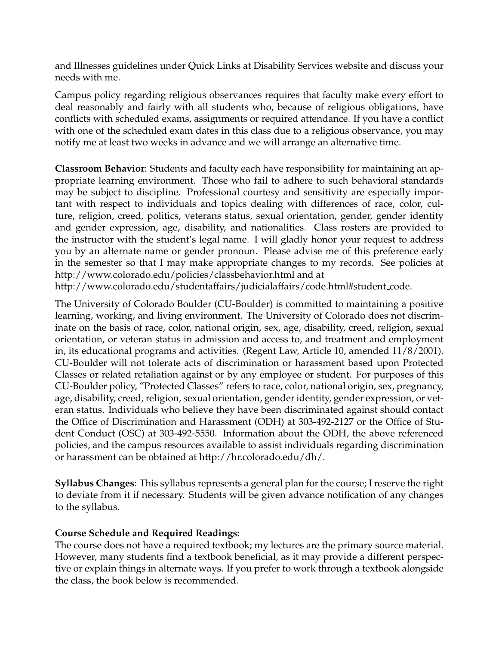and Illnesses guidelines under Quick Links at Disability Services website and discuss your needs with me.

Campus policy regarding religious observances requires that faculty make every effort to deal reasonably and fairly with all students who, because of religious obligations, have conflicts with scheduled exams, assignments or required attendance. If you have a conflict with one of the scheduled exam dates in this class due to a religious observance, you may notify me at least two weeks in advance and we will arrange an alternative time.

**Classroom Behavior**: Students and faculty each have responsibility for maintaining an appropriate learning environment. Those who fail to adhere to such behavioral standards may be subject to discipline. Professional courtesy and sensitivity are especially important with respect to individuals and topics dealing with differences of race, color, culture, religion, creed, politics, veterans status, sexual orientation, gender, gender identity and gender expression, age, disability, and nationalities. Class rosters are provided to the instructor with the student's legal name. I will gladly honor your request to address you by an alternate name or gender pronoun. Please advise me of this preference early in the semester so that I may make appropriate changes to my records. See policies at http://www.colorado.edu/policies/classbehavior.html and at

http://www.colorado.edu/studentaffairs/judicialaffairs/code.html#student code.

The University of Colorado Boulder (CU-Boulder) is committed to maintaining a positive learning, working, and living environment. The University of Colorado does not discriminate on the basis of race, color, national origin, sex, age, disability, creed, religion, sexual orientation, or veteran status in admission and access to, and treatment and employment in, its educational programs and activities. (Regent Law, Article 10, amended 11/8/2001). CU-Boulder will not tolerate acts of discrimination or harassment based upon Protected Classes or related retaliation against or by any employee or student. For purposes of this CU-Boulder policy, "Protected Classes" refers to race, color, national origin, sex, pregnancy, age, disability, creed, religion, sexual orientation, gender identity, gender expression, or veteran status. Individuals who believe they have been discriminated against should contact the Office of Discrimination and Harassment (ODH) at 303-492-2127 or the Office of Student Conduct (OSC) at 303-492-5550. Information about the ODH, the above referenced policies, and the campus resources available to assist individuals regarding discrimination or harassment can be obtained at http://hr.colorado.edu/dh/.

**Syllabus Changes**: This syllabus represents a general plan for the course; I reserve the right to deviate from it if necessary. Students will be given advance notification of any changes to the syllabus.

## **Course Schedule and Required Readings:**

The course does not have a required textbook; my lectures are the primary source material. However, many students find a textbook beneficial, as it may provide a different perspective or explain things in alternate ways. If you prefer to work through a textbook alongside the class, the book below is recommended.